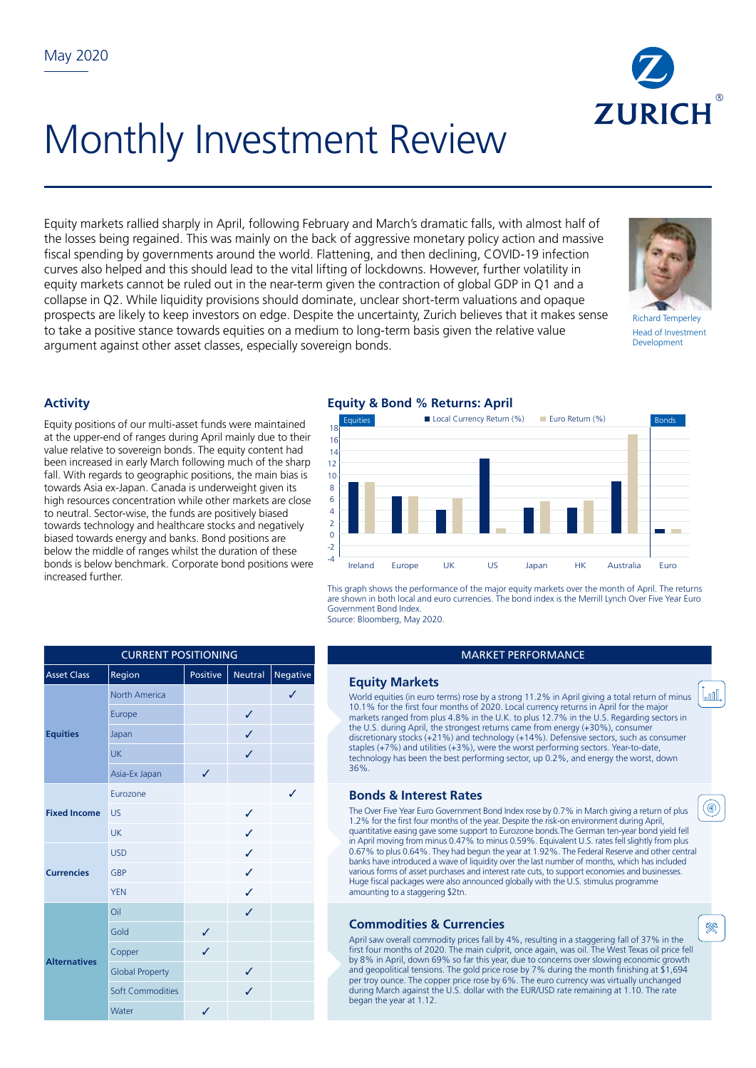

# Monthly Investment Review

Equity markets rallied sharply in April, following February and March's dramatic falls, with almost half of the losses being regained. This was mainly on the back of aggressive monetary policy action and massive fiscal spending by governments around the world. Flattening, and then declining, COVID-19 infection curves also helped and this should lead to the vital lifting of lockdowns. However, further volatility in equity markets cannot be ruled out in the near-term given the contraction of global GDP in Q1 and a collapse in Q2. While liquidity provisions should dominate, unclear short-term valuations and opaque prospects are likely to keep investors on edge. Despite the uncertainty, Zurich believes that it makes sense to take a positive stance towards equities on a medium to long-term basis given the relative value argument against other asset classes, especially sovereign bonds.



Richard Temperley Head of Investment Development

Lood

(⊛)

殩

## **Activity**

Equity positions of our multi-asset funds were maintained at the upper-end of ranges during April mainly due to their value relative to sovereign bonds. The equity content had been increased in early March following much of the sharp fall. With regards to geographic positions, the main bias is towards Asia ex-Japan. Canada is underweight given its high resources concentration while other markets are close to neutral. Sector-wise, the funds are positively biased towards technology and healthcare stocks and negatively biased towards energy and banks. Bond positions are below the middle of ranges whilst the duration of these bonds is below benchmark. Corporate bond positions were increased further.

#### **Equity & Bond % Returns: April** E Local Currency Return (%) Euro Return (%) -4 -2  $\overline{0}$  $\overline{2}$ 4 6 8  $10$ 12 14 16 18 Ireland Europe UK US Japan HK Australia Euro

This graph shows the performance of the major equity markets over the month of April. The returns are shown in both local and euro currencies. The bond index is the Merrill Lynch Over Five Year Euro Government Bond Index. Source: Bloomberg, May 2020.

#### **MARKET PERFORMANCE**

#### **Equity Markets**

World equities (in euro terms) rose by a strong 11.2% in April giving a total return of minus 10.1% for the first four months of 2020. Local currency returns in April for the major markets ranged from plus 4.8% in the U.K. to plus 12.7% in the U.S. Regarding sectors in the U.S. during April, the strongest returns came from energy (+30%), consumer discretionary stocks (+21%) and technology (+14%). Defensive sectors, such as consumer staples (+7%) and utilities (+3%), were the worst performing sectors. Year-to-date, technology has been the best performing sector, up 0.2%, and energy the worst, down 36%.

## **Bonds & Interest Rates**

The Over Five Year Euro Government Bond Index rose by 0.7% in March giving a return of plus 1.2% for the first four months of the year. Despite the risk-on environment during April, quantitative easing gave some support to Eurozone bonds.The German ten-year bond yield fell in April moving from minus 0.47% to minus 0.59%. Equivalent U.S. rates fell slightly from plus 0.67% to plus 0.64%. They had begun the year at 1.92%. The Federal Reserve and other central banks have introduced a wave of liquidity over the last number of months, which has included various forms of asset purchases and interest rate cuts, to support economies and businesses. Huge fiscal packages were also announced globally with the U.S. stimulus programme amounting to a staggering \$2tn.

## **Commodities & Currencies**

April saw overall commodity prices fall by 4%, resulting in a staggering fall of 37% in the first four months of 2020. The main culprit, once again, was oil. The West Texas oil price fell by 8% in April, down 69% so far this year, due to concerns over slowing economic growth and geopolitical tensions. The gold price rose by 7% during the month finishing at \$1,694 per troy ounce. The copper price rose by 6%. The euro currency was virtually unchanged during March against the U.S. dollar with the EUR/USD rate remaining at 1.10. The rate began the year at 1.12.

| <b>CURRENT POSITIONING</b> |                        |          |         |          |  |  |  |
|----------------------------|------------------------|----------|---------|----------|--|--|--|
| <b>Asset Class</b>         | Region                 | Positive | Neutral | Negative |  |  |  |
| <b>Equities</b>            | North America          |          |         | ✓        |  |  |  |
|                            | Europe                 |          | ✓       |          |  |  |  |
|                            | Japan                  |          | J       |          |  |  |  |
|                            | <b>UK</b>              |          | J       |          |  |  |  |
|                            | Asia-Ex Japan          | ✓        |         |          |  |  |  |
| <b>Fixed Income</b>        | Eurozone               |          |         | ℐ        |  |  |  |
|                            | <b>US</b>              |          | ✓       |          |  |  |  |
|                            | UK                     |          | ℐ       |          |  |  |  |
| <b>Currencies</b>          | <b>USD</b>             |          | ✓       |          |  |  |  |
|                            | <b>GBP</b>             |          | ℐ       |          |  |  |  |
|                            | <b>YEN</b>             |          | J       |          |  |  |  |
| <b>Alternatives</b>        | Oil                    |          | J       |          |  |  |  |
|                            | Gold                   | ✓        |         |          |  |  |  |
|                            | Copper                 | J        |         |          |  |  |  |
|                            | <b>Global Property</b> |          | ✓       |          |  |  |  |
|                            | Soft Commodities       |          | J       |          |  |  |  |

Water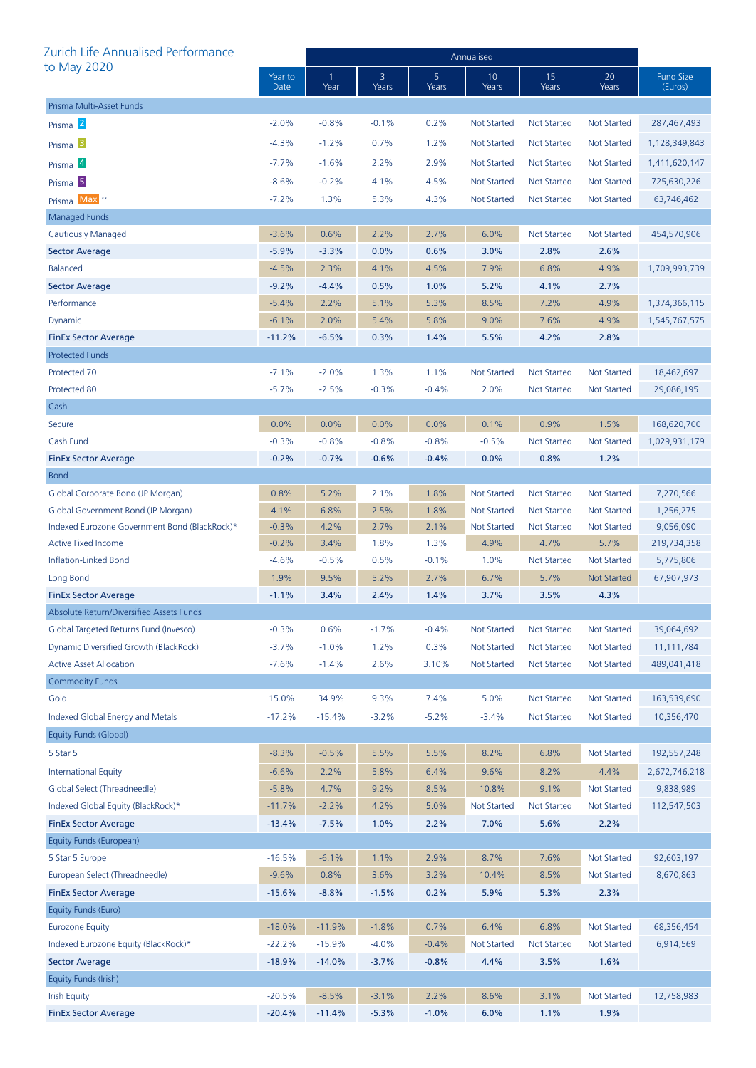| Zurich Life Annualised Performance            |                 | Annualised           |            |            |                    |                    |                    |                             |  |
|-----------------------------------------------|-----------------|----------------------|------------|------------|--------------------|--------------------|--------------------|-----------------------------|--|
| to May 2020                                   | Year to<br>Date | $\mathbf{1}$<br>Year | 3<br>Years | 5<br>Years | 10<br>Years        | 15<br>Years        | 20<br>Years        | <b>Fund Size</b><br>(Euros) |  |
| Prisma Multi-Asset Funds                      |                 |                      |            |            |                    |                    |                    |                             |  |
| Prisma <sup>2</sup>                           | $-2.0%$         | $-0.8%$              | $-0.1%$    | 0.2%       | <b>Not Started</b> | <b>Not Started</b> | Not Started        | 287,467,493                 |  |
| Prisma <sup>3</sup>                           | $-4.3%$         | $-1.2%$              | 0.7%       | 1.2%       | <b>Not Started</b> | Not Started        | Not Started        | 1,128,349,843               |  |
| Prisma 4                                      | $-7.7%$         | $-1.6%$              | 2.2%       | 2.9%       | <b>Not Started</b> | <b>Not Started</b> | Not Started        | 1,411,620,147               |  |
| Prisma <sup>5</sup>                           | $-8.6%$         | $-0.2%$              | 4.1%       | 4.5%       | <b>Not Started</b> | <b>Not Started</b> | Not Started        | 725,630,226                 |  |
| Prisma Max <sup>*</sup>                       | $-7.2%$         | 1.3%                 | 5.3%       | 4.3%       | <b>Not Started</b> | <b>Not Started</b> | Not Started        | 63,746,462                  |  |
| Managed Funds                                 |                 |                      |            |            |                    |                    |                    |                             |  |
| Cautiously Managed                            | $-3.6%$         | 0.6%                 | 2.2%       | 2.7%       | 6.0%               | <b>Not Started</b> | Not Started        | 454,570,906                 |  |
| <b>Sector Average</b>                         | $-5.9%$         | $-3.3%$              | 0.0%       | 0.6%       | 3.0%               | 2.8%               | 2.6%               |                             |  |
| <b>Balanced</b>                               | $-4.5%$         | 2.3%                 | 4.1%       | 4.5%       | 7.9%               | 6.8%               | 4.9%               | 1,709,993,739               |  |
| <b>Sector Average</b>                         | $-9.2%$         | $-4.4%$              | 0.5%       | 1.0%       | 5.2%               | 4.1%               | 2.7%               |                             |  |
| Performance                                   | $-5.4%$         | 2.2%                 | 5.1%       | 5.3%       | 8.5%               | 7.2%               | 4.9%               | 1,374,366,115               |  |
| Dynamic                                       | $-6.1%$         | 2.0%                 | 5.4%       | 5.8%       | 9.0%               | 7.6%               | 4.9%               | 1,545,767,575               |  |
| <b>FinEx Sector Average</b>                   | $-11.2%$        | $-6.5%$              | 0.3%       | 1.4%       | 5.5%               | 4.2%               | 2.8%               |                             |  |
| <b>Protected Funds</b>                        |                 |                      |            |            |                    |                    |                    |                             |  |
| Protected 70                                  | $-7.1%$         | $-2.0%$              | 1.3%       | 1.1%       | <b>Not Started</b> | <b>Not Started</b> | <b>Not Started</b> | 18,462,697                  |  |
| Protected 80                                  | $-5.7%$         | $-2.5%$              | $-0.3%$    | $-0.4%$    | 2.0%               | <b>Not Started</b> | Not Started        | 29,086,195                  |  |
| Cash                                          |                 |                      |            |            |                    |                    |                    |                             |  |
| Secure                                        | 0.0%            | 0.0%                 | 0.0%       | 0.0%       | 0.1%               | 0.9%               | 1.5%               | 168,620,700                 |  |
| Cash Fund                                     | $-0.3%$         | $-0.8%$              | $-0.8%$    | $-0.8%$    | $-0.5%$            | <b>Not Started</b> | <b>Not Started</b> | 1,029,931,179               |  |
| <b>FinEx Sector Average</b>                   | $-0.2%$         | $-0.7%$              | $-0.6%$    | $-0.4%$    | 0.0%               | 0.8%               | 1.2%               |                             |  |
| <b>Bond</b>                                   |                 |                      |            |            |                    |                    |                    |                             |  |
| Global Corporate Bond (JP Morgan)             | 0.8%            | 5.2%                 | 2.1%       | 1.8%       | <b>Not Started</b> | <b>Not Started</b> | <b>Not Started</b> | 7,270,566                   |  |
| Global Government Bond (JP Morgan)            | 4.1%            | 6.8%                 | 2.5%       | 1.8%       | <b>Not Started</b> | Not Started        | Not Started        | 1,256,275                   |  |
| Indexed Eurozone Government Bond (BlackRock)* | $-0.3%$         | 4.2%                 | 2.7%       | 2.1%       | <b>Not Started</b> | <b>Not Started</b> | <b>Not Started</b> | 9,056,090                   |  |
| <b>Active Fixed Income</b>                    | $-0.2%$         | 3.4%                 | 1.8%       | 1.3%       | 4.9%               | 4.7%               | 5.7%               | 219,734,358                 |  |
| Inflation-Linked Bond                         | $-4.6%$         | $-0.5%$              | 0.5%       | $-0.1%$    | 1.0%               | <b>Not Started</b> | Not Started        | 5,775,806                   |  |
| Long Bond                                     | 1.9%            | 9.5%                 | 5.2%       | 2.7%       | 6.7%               | 5.7%               | <b>Not Started</b> | 67,907,973                  |  |
| <b>FinEx Sector Average</b>                   | $-1.1%$         | 3.4%                 | 2.4%       | 1.4%       | 3.7%               | 3.5%               | 4.3%               |                             |  |
| Absolute Return/Diversified Assets Funds      |                 |                      |            |            |                    |                    |                    |                             |  |
| Global Targeted Returns Fund (Invesco)        | $-0.3%$         | 0.6%                 | $-1.7%$    | $-0.4%$    | <b>Not Started</b> | <b>Not Started</b> | Not Started        | 39,064,692                  |  |
| Dynamic Diversified Growth (BlackRock)        | $-3.7%$         | $-1.0%$              | 1.2%       | 0.3%       | <b>Not Started</b> | <b>Not Started</b> | Not Started        | 11,111,784                  |  |
| <b>Active Asset Allocation</b>                | $-7.6%$         | $-1.4%$              | 2.6%       | 3.10%      | <b>Not Started</b> | <b>Not Started</b> | <b>Not Started</b> | 489,041,418                 |  |
| <b>Commodity Funds</b>                        |                 |                      |            |            |                    |                    |                    |                             |  |
| Gold                                          | 15.0%           | 34.9%                | 9.3%       | 7.4%       | 5.0%               | <b>Not Started</b> | Not Started        | 163,539,690                 |  |
| Indexed Global Energy and Metals              | $-17.2%$        | $-15.4%$             | $-3.2%$    | $-5.2%$    | $-3.4%$            | <b>Not Started</b> | Not Started        | 10,356,470                  |  |
| Equity Funds (Global)                         |                 |                      |            |            |                    |                    |                    |                             |  |
| 5 Star 5                                      | $-8.3%$         | $-0.5%$              | 5.5%       | 5.5%       | 8.2%               | 6.8%               | Not Started        | 192,557,248                 |  |
| <b>International Equity</b>                   | $-6.6%$         | 2.2%                 | 5.8%       | 6.4%       | 9.6%               | 8.2%               | 4.4%               | 2,672,746,218               |  |
| Global Select (Threadneedle)                  | $-5.8%$         | 4.7%                 | 9.2%       | 8.5%       | 10.8%              | 9.1%               | Not Started        | 9,838,989                   |  |
| Indexed Global Equity (BlackRock)*            | $-11.7%$        | $-2.2%$              | 4.2%       | 5.0%       | <b>Not Started</b> | <b>Not Started</b> | Not Started        | 112,547,503                 |  |
| <b>FinEx Sector Average</b>                   | $-13.4%$        | $-7.5%$              | 1.0%       | 2.2%       | 7.0%               | 5.6%               | 2.2%               |                             |  |
| Equity Funds (European)                       |                 |                      |            |            |                    |                    |                    |                             |  |
| 5 Star 5 Europe                               | $-16.5%$        | $-6.1%$              | 1.1%       | 2.9%       | 8.7%               | 7.6%               | Not Started        | 92,603,197                  |  |
| European Select (Threadneedle)                | $-9.6%$         | 0.8%                 | 3.6%       | 3.2%       | 10.4%              | 8.5%               | Not Started        | 8,670,863                   |  |
| <b>FinEx Sector Average</b>                   | $-15.6%$        | $-8.8%$              | $-1.5%$    | 0.2%       | 5.9%               | 5.3%               | 2.3%               |                             |  |
| Equity Funds (Euro)                           |                 |                      |            |            |                    |                    |                    |                             |  |
| <b>Eurozone Equity</b>                        | $-18.0%$        | $-11.9%$             | $-1.8%$    | 0.7%       | 6.4%               | 6.8%               | <b>Not Started</b> | 68,356,454                  |  |
| Indexed Eurozone Equity (BlackRock)*          | $-22.2%$        | $-15.9%$             | $-4.0%$    | $-0.4%$    | <b>Not Started</b> | <b>Not Started</b> | <b>Not Started</b> | 6,914,569                   |  |
| <b>Sector Average</b>                         | $-18.9%$        | $-14.0%$             | $-3.7%$    | $-0.8%$    | 4.4%               | 3.5%               | 1.6%               |                             |  |
| Equity Funds (Irish)                          |                 |                      |            |            |                    |                    |                    |                             |  |
| <b>Irish Equity</b>                           | $-20.5%$        | $-8.5%$              | $-3.1%$    | 2.2%       | 8.6%               | 3.1%               | Not Started        | 12,758,983                  |  |
| <b>FinEx Sector Average</b>                   | $-20.4%$        | $-11.4%$             | $-5.3%$    | $-1.0%$    | 6.0%               | 1.1%               | 1.9%               |                             |  |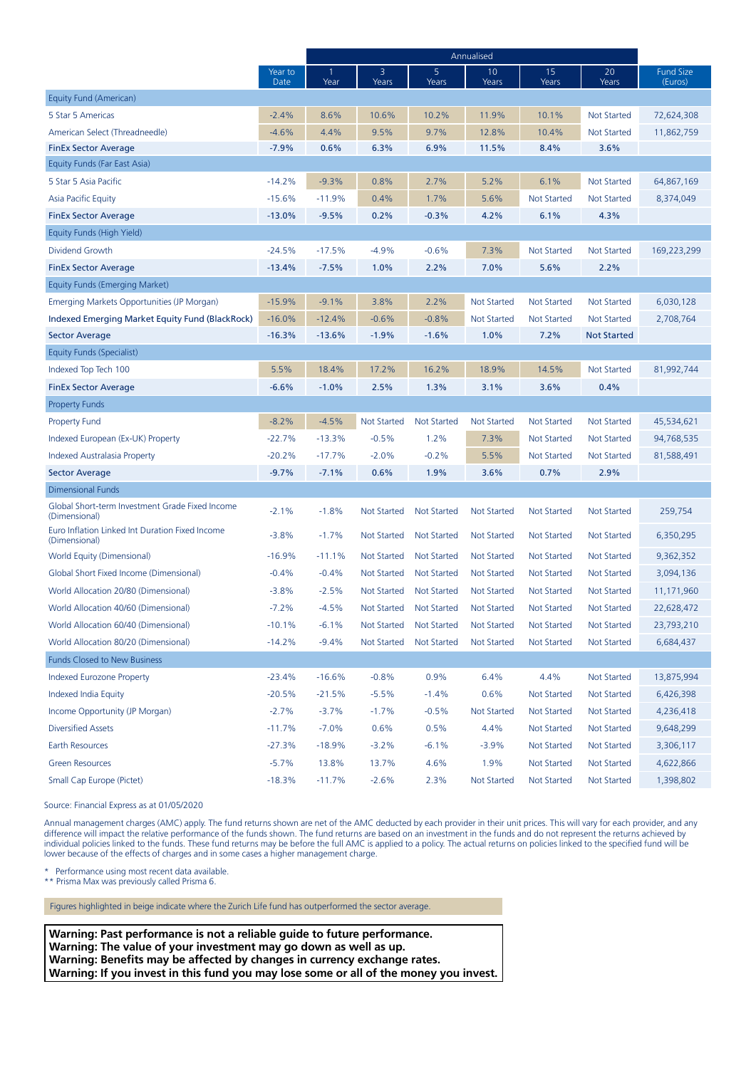|                                                                  |                 | Annualised |                    |                    |                    |                    |                    |                             |
|------------------------------------------------------------------|-----------------|------------|--------------------|--------------------|--------------------|--------------------|--------------------|-----------------------------|
|                                                                  | Year to<br>Date | Year       | 3<br>Years         | 5<br>Years         | 10<br>Years        | 15<br>Years        | 20<br>Years        | <b>Fund Size</b><br>(Euros) |
| Equity Fund (American)                                           |                 |            |                    |                    |                    |                    |                    |                             |
| 5 Star 5 Americas                                                | $-2.4%$         | 8.6%       | 10.6%              | 10.2%              | 11.9%              | 10.1%              | <b>Not Started</b> | 72,624,308                  |
| American Select (Threadneedle)                                   | $-4.6%$         | 4.4%       | 9.5%               | 9.7%               | 12.8%              | 10.4%              | <b>Not Started</b> | 11,862,759                  |
| <b>FinEx Sector Average</b>                                      | $-7.9%$         | 0.6%       | 6.3%               | 6.9%               | 11.5%              | 8.4%               | 3.6%               |                             |
| Equity Funds (Far East Asia)                                     |                 |            |                    |                    |                    |                    |                    |                             |
| 5 Star 5 Asia Pacific                                            | $-14.2%$        | $-9.3%$    | 0.8%               | 2.7%               | 5.2%               | 6.1%               | <b>Not Started</b> | 64,867,169                  |
| Asia Pacific Equity                                              | $-15.6%$        | $-11.9%$   | 0.4%               | 1.7%               | 5.6%               | <b>Not Started</b> | <b>Not Started</b> | 8,374,049                   |
| <b>FinEx Sector Average</b>                                      | $-13.0%$        | $-9.5%$    | 0.2%               | $-0.3%$            | 4.2%               | 6.1%               | 4.3%               |                             |
| Equity Funds (High Yield)                                        |                 |            |                    |                    |                    |                    |                    |                             |
| Dividend Growth                                                  | $-24.5%$        | $-17.5%$   | $-4.9%$            | $-0.6%$            | 7.3%               | <b>Not Started</b> | <b>Not Started</b> | 169,223,299                 |
| <b>FinEx Sector Average</b>                                      | $-13.4%$        | $-7.5%$    | 1.0%               | 2.2%               | 7.0%               | 5.6%               | 2.2%               |                             |
| Equity Funds (Emerging Market)                                   |                 |            |                    |                    |                    |                    |                    |                             |
| Emerging Markets Opportunities (JP Morgan)                       | $-15.9%$        | $-9.1%$    | 3.8%               | 2.2%               | <b>Not Started</b> | <b>Not Started</b> | <b>Not Started</b> | 6,030,128                   |
| Indexed Emerging Market Equity Fund (BlackRock)                  | $-16.0%$        | $-12.4%$   | $-0.6%$            | $-0.8%$            | <b>Not Started</b> | <b>Not Started</b> | <b>Not Started</b> | 2,708,764                   |
| <b>Sector Average</b>                                            | $-16.3%$        | $-13.6%$   | $-1.9%$            | $-1.6%$            | 1.0%               | 7.2%               | <b>Not Started</b> |                             |
| Equity Funds (Specialist)                                        |                 |            |                    |                    |                    |                    |                    |                             |
| Indexed Top Tech 100                                             | 5.5%            | 18.4%      | 17.2%              | 16.2%              | 18.9%              | 14.5%              | <b>Not Started</b> | 81,992,744                  |
| <b>FinEx Sector Average</b>                                      | $-6.6%$         | $-1.0%$    | 2.5%               | 1.3%               | 3.1%               | 3.6%               | 0.4%               |                             |
| <b>Property Funds</b>                                            |                 |            |                    |                    |                    |                    |                    |                             |
| <b>Property Fund</b>                                             | $-8.2%$         | $-4.5%$    | <b>Not Started</b> | <b>Not Started</b> | <b>Not Started</b> | <b>Not Started</b> | Not Started        | 45,534,621                  |
| Indexed European (Ex-UK) Property                                | $-22.7%$        | $-13.3%$   | $-0.5%$            | 1.2%               | 7.3%               | <b>Not Started</b> | <b>Not Started</b> | 94,768,535                  |
| Indexed Australasia Property                                     | $-20.2%$        | $-17.7%$   | $-2.0%$            | $-0.2%$            | 5.5%               | <b>Not Started</b> | <b>Not Started</b> | 81,588,491                  |
| <b>Sector Average</b>                                            | $-9.7%$         | $-7.1%$    | 0.6%               | 1.9%               | 3.6%               | 0.7%               | 2.9%               |                             |
| <b>Dimensional Funds</b>                                         |                 |            |                    |                    |                    |                    |                    |                             |
| Global Short-term Investment Grade Fixed Income<br>(Dimensional) | $-2.1%$         | $-1.8%$    | <b>Not Started</b> | <b>Not Started</b> | <b>Not Started</b> | <b>Not Started</b> | <b>Not Started</b> | 259,754                     |
| Euro Inflation Linked Int Duration Fixed Income<br>(Dimensional) | $-3.8%$         | $-1.7%$    | Not Started        | Not Started        | <b>Not Started</b> | Not Started        | Not Started        | 6,350,295                   |
| World Equity (Dimensional)                                       | $-16.9%$        | $-11.1%$   | Not Started        | <b>Not Started</b> | <b>Not Started</b> | Not Started        | <b>Not Started</b> | 9,362,352                   |
| Global Short Fixed Income (Dimensional)                          | $-0.4%$         | $-0.4%$    | Not Started        | Not Started        | Not Started        | <b>Not Started</b> | Not Started        | 3,094,136                   |
| World Allocation 20/80 (Dimensional)                             | $-3.8%$         | $-2.5%$    | Not Started        | Not Started        | <b>Not Started</b> | <b>Not Started</b> | <b>Not Started</b> | 11,171,960                  |
| World Allocation 40/60 (Dimensional)                             | $-7.2%$         | $-4.5%$    | Not Started        | <b>Not Started</b> | <b>Not Started</b> | <b>Not Started</b> | <b>Not Started</b> | 22,628,472                  |
| World Allocation 60/40 (Dimensional)                             | $-10.1%$        | $-6.1%$    | Not Started        | Not Started        | Not Started        | Not Started        | Not Started        | 23,793,210                  |
| World Allocation 80/20 (Dimensional)                             | $-14.2%$        | $-9.4%$    | <b>Not Started</b> | <b>Not Started</b> | <b>Not Started</b> | <b>Not Started</b> | <b>Not Started</b> | 6,684,437                   |
| <b>Funds Closed to New Business</b>                              |                 |            |                    |                    |                    |                    |                    |                             |
| <b>Indexed Eurozone Property</b>                                 | $-23.4%$        | $-16.6%$   | $-0.8%$            | 0.9%               | 6.4%               | 4.4%               | <b>Not Started</b> | 13,875,994                  |
| Indexed India Equity                                             | $-20.5%$        | $-21.5%$   | $-5.5%$            | $-1.4%$            | 0.6%               | <b>Not Started</b> | <b>Not Started</b> | 6,426,398                   |
| Income Opportunity (JP Morgan)                                   | $-2.7%$         | $-3.7%$    | $-1.7%$            | $-0.5%$            | Not Started        | <b>Not Started</b> | Not Started        | 4,236,418                   |
| <b>Diversified Assets</b>                                        | $-11.7%$        | $-7.0%$    | 0.6%               | 0.5%               | 4.4%               | <b>Not Started</b> | <b>Not Started</b> | 9,648,299                   |
| <b>Earth Resources</b>                                           | $-27.3%$        | $-18.9%$   | $-3.2%$            | $-6.1%$            | $-3.9%$            | <b>Not Started</b> | <b>Not Started</b> | 3,306,117                   |
| <b>Green Resources</b>                                           | $-5.7%$         | 13.8%      | 13.7%              | 4.6%               | 1.9%               | <b>Not Started</b> | <b>Not Started</b> | 4,622,866                   |
| Small Cap Europe (Pictet)                                        | $-18.3%$        | $-11.7%$   | $-2.6%$            | 2.3%               | <b>Not Started</b> | Not Started        | Not Started        | 1,398,802                   |

Source: Financial Express as at 01/05/2020

Annual management charges (AMC) apply. The fund returns shown are net of the AMC deducted by each provider in their unit prices. This will vary for each provider, and any difference will impact the relative performance of the funds shown. The fund returns are based on an investment in the funds and do not represent the returns achieved by individual policies linked to the funds. These fund returns may be before the full AMC is applied to a policy. The actual returns on policies linked to the specified fund will be lower because of the effects of charges and in some cases a higher management charge.

\* Performance using most recent data available.

\*\* Prisma Max was previously called Prisma 6.

Figures highlighted in beige indicate where the Zurich Life fund has outperformed the sector average.

**Warning: Past performance is not a reliable guide to future performance. Warning: The value of your investment may go down as well as up. Warning: Benefits may be affected by changes in currency exchange rates. Warning: If you invest in this fund you may lose some or all of the money you invest.**